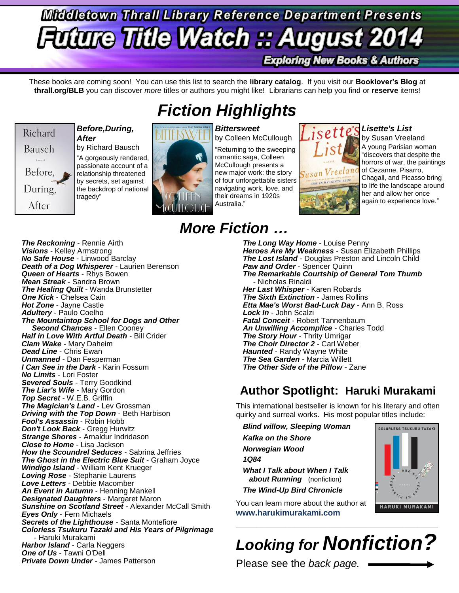# **Middletown Thrall Library Reference Department Presents Future Title Watch :: August 2014 Exploring New Books & Authors**

These books are coming soon! You can use this list to search the **library catalog**. If you visit our **Booklover's Blog** at **thrall.org/BLB** you can discover *more* titles or authors you might like! Librarians can help you find or **reserve** items!



## *Before,During, After*

by Richard Bausch "A gorgeously rendered, passionate account of a relationship threatened by secrets, set against the backdrop of national tragedy"

# *Fiction Highlights*



*Bittersweet* by Colleen McCullough "Returning to the sweeping romantic saga, Colleen McCullough presents a new major work: the story of four unforgettable sisters navigating work, love, and their dreams in 1920s Australia."

isett

# *Lisette's List*

by Susan Vreeland A young Parisian woman "discovers that despite the horrors of war, the paintings of Cezanne, Pisarro, Chagall, and Picasso bring to life the landscape around her and allow her once again to experience love."

*The Reckoning* - Rennie Airth *Visions* - Kelley Armstrong *No Safe House* - Linwood Barclay *Death of a Dog Whisperer* - Laurien Berenson *Queen of Hearts* - Rhys Bowen *Mean Streak* - Sandra Brown *The Healing Quilt* - Wanda Brunstetter *One Kick* - Chelsea Cain *Hot Zone* - Jayne Castle *Adultery* - Paulo Coelho *The Mountaintop School for Dogs and Other Second Chances* - Ellen Cooney *Half in Love With Artful Death* - Bill Crider *Clam Wake* - Mary Daheim *Dead Line* - Chris Ewan *Unmanned* - Dan Fesperman *I Can See in the Dark* - Karin Fossum *No Limits* - Lori Foster *Severed Souls* - Terry Goodkind *The Liar's Wife* - Mary Gordon *Top Secret* - W.E.B. Griffin *The Magician's Land* - Lev Grossman *Driving with the Top Down* - Beth Harbison *Fool's Assassin* - Robin Hobb *Don't Look Back* - Gregg Hurwitz *Strange Shores* - Arnaldur Indridason *Close to Home* - Lisa Jackson *How the Scoundrel Seduces* - Sabrina Jeffries *The Ghost in the Electric Blue Suit* - Graham Joyce *Windigo Island* - William Kent Krueger *Loving Rose* - Stephanie Laurens *Love Letters* - Debbie Macomber *An Event in Autumn* - Henning Mankell *Designated Daughters* - Margaret Maron *Sunshine on Scotland Street* - Alexander McCall Smith *Eyes Only* - Fern Michaels *Secrets of the Lighthouse* - Santa Montefiore *Colorless Tsukuru Tazaki and His Years of Pilgrimage* - Haruki Murakami *Harbor Island* - Carla Neggers *One of Us* - Tawni O'Dell *Private Down Under* - James Patterson

# *More Fiction …*

*The Long Way Home* - Louise Penny *Heroes Are My Weakness* - Susan Elizabeth Phillips *The Lost Island* - Douglas Preston and Lincoln Child *Paw and Order - Spencer Quinn The Remarkable Courtship of General Tom Thumb* - Nicholas Rinaldi *Her Last Whisper* - Karen Robards *The Sixth Extinction* - James Rollins *Etta Mae's Worst Bad-Luck Day* - Ann B. Ross *Lock In* - John Scalzi *Fatal Conceit* - Robert Tannenbaum *An Unwilling Accomplice* - Charles Todd *The Story Hour* - Thrity Umrigar *The Choir Director 2* - Carl Weber *Haunted* - Randy Wayne White *The Sea Garden* - Marcia Willett *The Other Side of the Pillow* - Zane

# **Author Spotlight: Haruki Murakami**

This international bestseller is known for his literary and often quirky and surreal works. His most popular titles include:

*Blind willow, Sleeping Woman*

- *Kafka on the Shore*
- *Norwegian Wood*

*1Q84*

*What I Talk about When I Talk about Running* (nonfiction)

*The Wind-Up Bird Chronicle*

You can learn more about the author at **[www.harukimurakami.com](http://www.harukimurakami.com/)**



 $\_$  ,  $\_$  ,  $\_$  ,  $\_$  ,  $\_$  ,  $\_$  ,  $\_$  ,  $\_$  ,  $\_$  ,  $\_$  ,  $\_$  ,  $\_$  ,  $\_$  ,  $\_$  ,  $\_$  ,  $\_$  ,  $\_$  ,  $\_$  ,  $\_$  ,  $\_$  ,  $\_$  ,  $\_$  ,  $\_$  ,  $\_$  ,  $\_$  ,  $\_$  ,  $\_$  ,  $\_$  ,  $\_$  ,  $\_$  ,  $\_$  ,  $\_$  ,  $\_$  ,  $\_$  ,  $\_$  ,  $\_$  ,  $\_$  ,

Please see the *back page.*